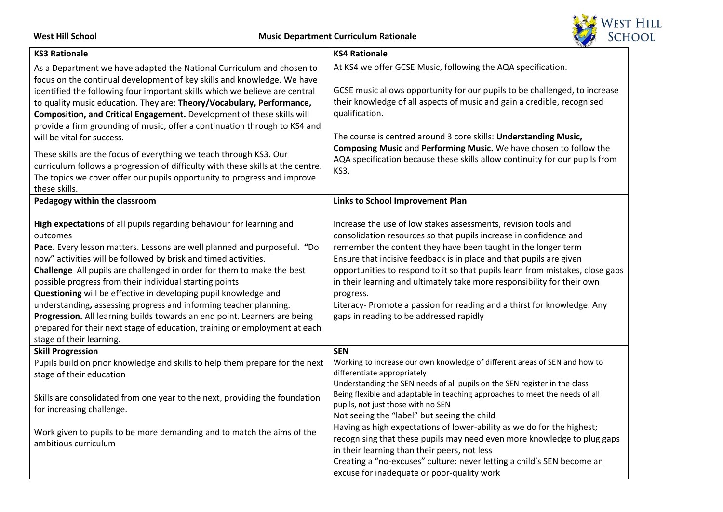West Hill School **Music Department Curriculum Rationale** 



| <b>KS3 Rationale</b>                                                                                                                                                                                                                                                                                                                                                                                                                                                                                                                                                                                                                                                                                | <b>KS4 Rationale</b>                                                                                                                                                                                                                                                                                                                                                                                                                                                                                                                                                                                                                                                                                    |
|-----------------------------------------------------------------------------------------------------------------------------------------------------------------------------------------------------------------------------------------------------------------------------------------------------------------------------------------------------------------------------------------------------------------------------------------------------------------------------------------------------------------------------------------------------------------------------------------------------------------------------------------------------------------------------------------------------|---------------------------------------------------------------------------------------------------------------------------------------------------------------------------------------------------------------------------------------------------------------------------------------------------------------------------------------------------------------------------------------------------------------------------------------------------------------------------------------------------------------------------------------------------------------------------------------------------------------------------------------------------------------------------------------------------------|
| As a Department we have adapted the National Curriculum and chosen to<br>focus on the continual development of key skills and knowledge. We have<br>identified the following four important skills which we believe are central<br>to quality music education. They are: Theory/Vocabulary, Performance,<br>Composition, and Critical Engagement. Development of these skills will<br>provide a firm grounding of music, offer a continuation through to KS4 and<br>will be vital for success.                                                                                                                                                                                                      | At KS4 we offer GCSE Music, following the AQA specification.<br>GCSE music allows opportunity for our pupils to be challenged, to increase<br>their knowledge of all aspects of music and gain a credible, recognised<br>qualification.<br>The course is centred around 3 core skills: Understanding Music,                                                                                                                                                                                                                                                                                                                                                                                             |
| These skills are the focus of everything we teach through KS3. Our<br>curriculum follows a progression of difficulty with these skills at the centre.<br>The topics we cover offer our pupils opportunity to progress and improve<br>these skills.                                                                                                                                                                                                                                                                                                                                                                                                                                                  | Composing Music and Performing Music. We have chosen to follow the<br>AQA specification because these skills allow continuity for our pupils from<br>KS3.                                                                                                                                                                                                                                                                                                                                                                                                                                                                                                                                               |
| Pedagogy within the classroom                                                                                                                                                                                                                                                                                                                                                                                                                                                                                                                                                                                                                                                                       | Links to School Improvement Plan                                                                                                                                                                                                                                                                                                                                                                                                                                                                                                                                                                                                                                                                        |
| High expectations of all pupils regarding behaviour for learning and<br>outcomes<br>Pace. Every lesson matters. Lessons are well planned and purposeful. "Do<br>now" activities will be followed by brisk and timed activities.<br>Challenge All pupils are challenged in order for them to make the best<br>possible progress from their individual starting points<br>Questioning will be effective in developing pupil knowledge and<br>understanding, assessing progress and informing teacher planning.<br>Progression. All learning builds towards an end point. Learners are being<br>prepared for their next stage of education, training or employment at each<br>stage of their learning. | Increase the use of low stakes assessments, revision tools and<br>consolidation resources so that pupils increase in confidence and<br>remember the content they have been taught in the longer term<br>Ensure that incisive feedback is in place and that pupils are given<br>opportunities to respond to it so that pupils learn from mistakes, close gaps<br>in their learning and ultimately take more responsibility for their own<br>progress.<br>Literacy- Promote a passion for reading and a thirst for knowledge. Any<br>gaps in reading to be addressed rapidly                                                                                                                              |
| <b>Skill Progression</b><br>Pupils build on prior knowledge and skills to help them prepare for the next<br>stage of their education<br>Skills are consolidated from one year to the next, providing the foundation<br>for increasing challenge.<br>Work given to pupils to be more demanding and to match the aims of the<br>ambitious curriculum                                                                                                                                                                                                                                                                                                                                                  | <b>SEN</b><br>Working to increase our own knowledge of different areas of SEN and how to<br>differentiate appropriately<br>Understanding the SEN needs of all pupils on the SEN register in the class<br>Being flexible and adaptable in teaching approaches to meet the needs of all<br>pupils, not just those with no SEN<br>Not seeing the "label" but seeing the child<br>Having as high expectations of lower-ability as we do for the highest;<br>recognising that these pupils may need even more knowledge to plug gaps<br>in their learning than their peers, not less<br>Creating a "no-excuses" culture: never letting a child's SEN become an<br>excuse for inadequate or poor-quality work |